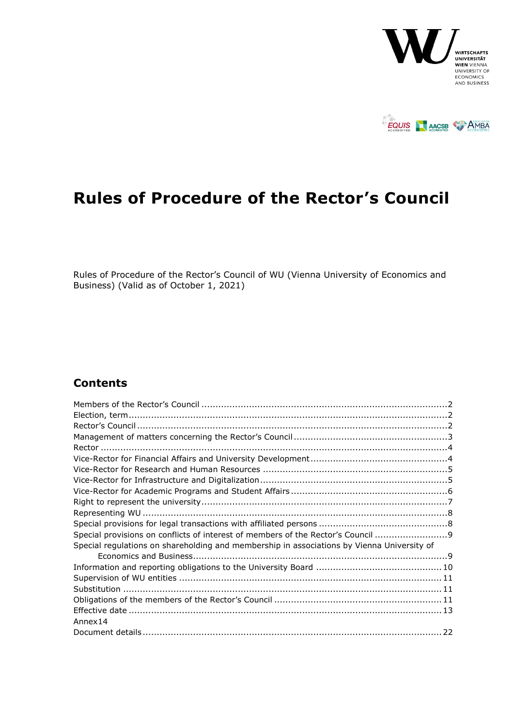



# <span id="page-0-0"></span>**Rules of Procedure of the Rector's Council**

<span id="page-0-1"></span>Rules of Procedure of the Rector's Council of WU (Vienna University of Economics and Business) (Valid as of October 1, 2021)

# **Contents**

| Special provisions on conflicts of interest of members of the Rector's Council 9           |  |
|--------------------------------------------------------------------------------------------|--|
| Special regulations on shareholding and membership in associations by Vienna University of |  |
|                                                                                            |  |
|                                                                                            |  |
|                                                                                            |  |
|                                                                                            |  |
|                                                                                            |  |
|                                                                                            |  |
| Annex14                                                                                    |  |
|                                                                                            |  |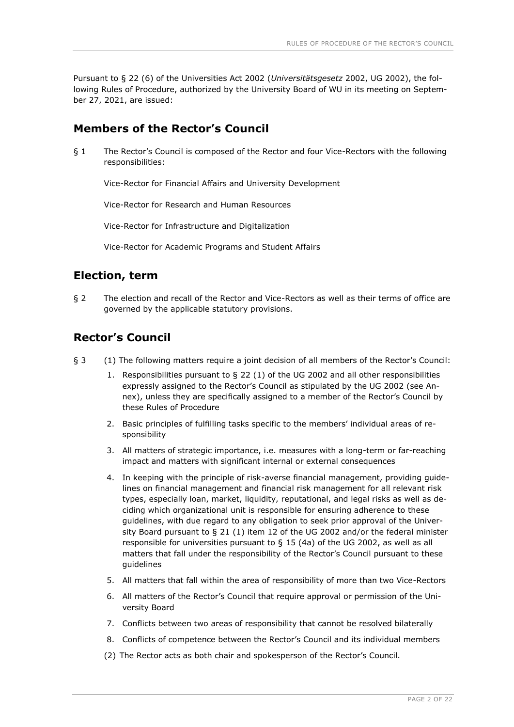Pursuant to § 22 (6) of the Universities Act 2002 (*Universitätsgesetz* 2002, UG 2002), the following Rules of Procedure, authorized by the University Board of WU in its meeting on September 27, 2021, are issued:

## <span id="page-1-0"></span>**Members of the Rector's Council**

§ 1 The Rector's Council is composed of the Rector and four Vice-Rectors with the following responsibilities:

Vice-Rector for Financial Affairs and University Development

Vice-Rector for Research and Human Resources

Vice-Rector for Infrastructure and Digitalization

Vice-Rector for Academic Programs and Student Affairs

# <span id="page-1-1"></span>**Election, term**

§ 2 The election and recall of the Rector and Vice-Rectors as well as their terms of office are governed by the applicable statutory provisions.

# <span id="page-1-2"></span>**Rector's Council**

- § 3 (1) The following matters require a joint decision of all members of the Rector's Council:
	- 1. Responsibilities pursuant to § 22 (1) of the UG 2002 and all other responsibilities expressly assigned to the Rector's Council as stipulated by the UG 2002 (see Annex), unless they are specifically assigned to a member of the Rector's Council by these Rules of Procedure
	- 2. Basic principles of fulfilling tasks specific to the members' individual areas of responsibility
	- 3. All matters of strategic importance, i.e. measures with a long-term or far-reaching impact and matters with significant internal or external consequences
	- 4. In keeping with the principle of risk-averse financial management, providing guidelines on financial management and financial risk management for all relevant risk types, especially loan, market, liquidity, reputational, and legal risks as well as deciding which organizational unit is responsible for ensuring adherence to these guidelines, with due regard to any obligation to seek prior approval of the University Board pursuant to  $\S 21$  (1) item 12 of the UG 2002 and/or the federal minister responsible for universities pursuant to  $\S$  15 (4a) of the UG 2002, as well as all matters that fall under the responsibility of the Rector's Council pursuant to these guidelines
	- 5. All matters that fall within the area of responsibility of more than two Vice-Rectors
	- 6. All matters of the Rector's Council that require approval or permission of the University Board
	- 7. Conflicts between two areas of responsibility that cannot be resolved bilaterally
	- 8. Conflicts of competence between the Rector's Council and its individual members
	- (2) The Rector acts as both chair and spokesperson of the Rector's Council.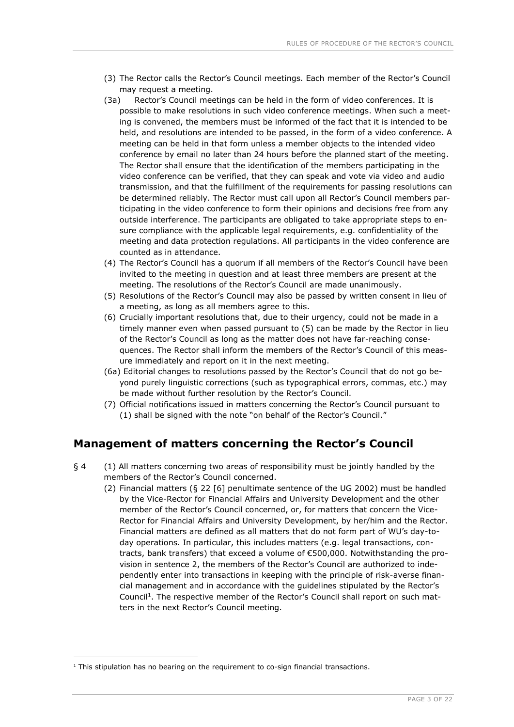- (3) The Rector calls the Rector's Council meetings. Each member of the Rector's Council may request a meeting.
- (3a) Rector's Council meetings can be held in the form of video conferences. It is possible to make resolutions in such video conference meetings. When such a meeting is convened, the members must be informed of the fact that it is intended to be held, and resolutions are intended to be passed, in the form of a video conference. A meeting can be held in that form unless a member objects to the intended video conference by email no later than 24 hours before the planned start of the meeting. The Rector shall ensure that the identification of the members participating in the video conference can be verified, that they can speak and vote via video and audio transmission, and that the fulfillment of the requirements for passing resolutions can be determined reliably. The Rector must call upon all Rector's Council members participating in the video conference to form their opinions and decisions free from any outside interference. The participants are obligated to take appropriate steps to ensure compliance with the applicable legal requirements, e.g. confidentiality of the meeting and data protection regulations. All participants in the video conference are counted as in attendance.
- (4) The Rector's Council has a quorum if all members of the Rector's Council have been invited to the meeting in question and at least three members are present at the meeting. The resolutions of the Rector's Council are made unanimously.
- (5) Resolutions of the Rector's Council may also be passed by written consent in lieu of a meeting, as long as all members agree to this.
- (6) Crucially important resolutions that, due to their urgency, could not be made in a timely manner even when passed pursuant to (5) can be made by the Rector in lieu of the Rector's Council as long as the matter does not have far-reaching consequences. The Rector shall inform the members of the Rector's Council of this measure immediately and report on it in the next meeting.
- (6a) Editorial changes to resolutions passed by the Rector's Council that do not go beyond purely linguistic corrections (such as typographical errors, commas, etc.) may be made without further resolution by the Rector's Council.
- (7) Official notifications issued in matters concerning the Rector's Council pursuant to (1) shall be signed with the note "on behalf of the Rector's Council."

#### <span id="page-2-0"></span>**Management of matters concerning the Rector's Council**

- § 4 (1) All matters concerning two areas of responsibility must be jointly handled by the members of the Rector's Council concerned.
	- (2) Financial matters (§ 22 [6] penultimate sentence of the UG 2002) must be handled by the Vice-Rector for Financial Affairs and University Development and the other member of the Rector's Council concerned, or, for matters that concern the Vice-Rector for Financial Affairs and University Development, by her/him and the Rector. Financial matters are defined as all matters that do not form part of WU's day-today operations. In particular, this includes matters (e.g. legal transactions, contracts, bank transfers) that exceed a volume of €500,000. Notwithstanding the provision in sentence 2, the members of the Rector's Council are authorized to independently enter into transactions in keeping with the principle of risk-averse financial management and in accordance with the guidelines stipulated by the Rector's Council<sup>1</sup>. The respective member of the Rector's Council shall report on such matters in the next Rector's Council meeting.

-

 $1$  This stipulation has no bearing on the requirement to co-sign financial transactions.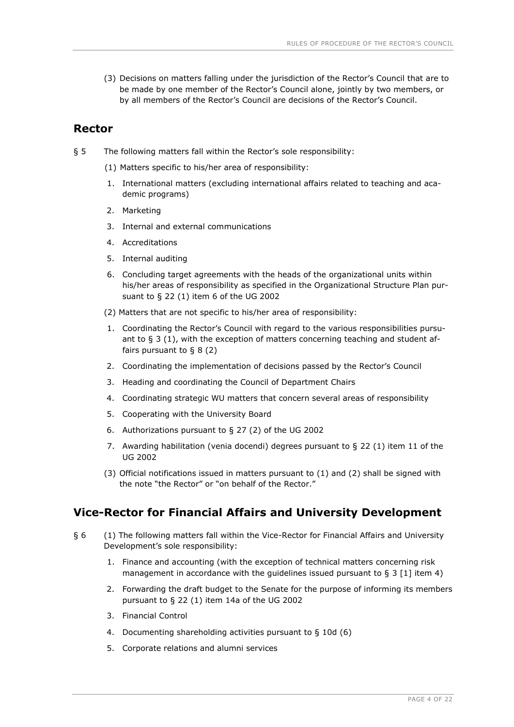(3) Decisions on matters falling under the jurisdiction of the Rector's Council that are to be made by one member of the Rector's Council alone, jointly by two members, or by all members of the Rector's Council are decisions of the Rector's Council.

#### <span id="page-3-0"></span>**Rector**

- § 5 The following matters fall within the Rector's sole responsibility:
	- (1) Matters specific to his/her area of responsibility:
	- 1. International matters (excluding international affairs related to teaching and academic programs)
	- 2. Marketing
	- 3. Internal and external communications
	- 4. Accreditations
	- 5. Internal auditing
	- 6. Concluding target agreements with the heads of the organizational units within his/her areas of responsibility as specified in the Organizational Structure Plan pursuant to § 22 (1) item 6 of the UG 2002
	- (2) Matters that are not specific to his/her area of responsibility:
	- 1. Coordinating the Rector's Council with regard to the various responsibilities pursuant to § 3 (1), with the exception of matters concerning teaching and student affairs pursuant to § 8 (2)
	- 2. Coordinating the implementation of decisions passed by the Rector's Council
	- 3. Heading and coordinating the Council of Department Chairs
	- 4. Coordinating strategic WU matters that concern several areas of responsibility
	- 5. Cooperating with the University Board
	- 6. Authorizations pursuant to § 27 (2) of the UG 2002
	- 7. Awarding habilitation (venia docendi) degrees pursuant to § 22 (1) item 11 of the UG 2002
	- (3) Official notifications issued in matters pursuant to (1) and (2) shall be signed with the note "the Rector" or "on behalf of the Rector."

# <span id="page-3-1"></span>**Vice-Rector for Financial Affairs and University Development**

- § 6 (1) The following matters fall within the Vice-Rector for Financial Affairs and University Development's sole responsibility:
	- 1. Finance and accounting (with the exception of technical matters concerning risk management in accordance with the quidelines issued pursuant to  $\S 3 \lceil 1 \rceil$  item 4)
	- 2. Forwarding the draft budget to the Senate for the purpose of informing its members pursuant to § 22 (1) item 14a of the UG 2002
	- 3. Financial Control
	- 4. Documenting shareholding activities pursuant to § 10d (6)
	- 5. Corporate relations and alumni services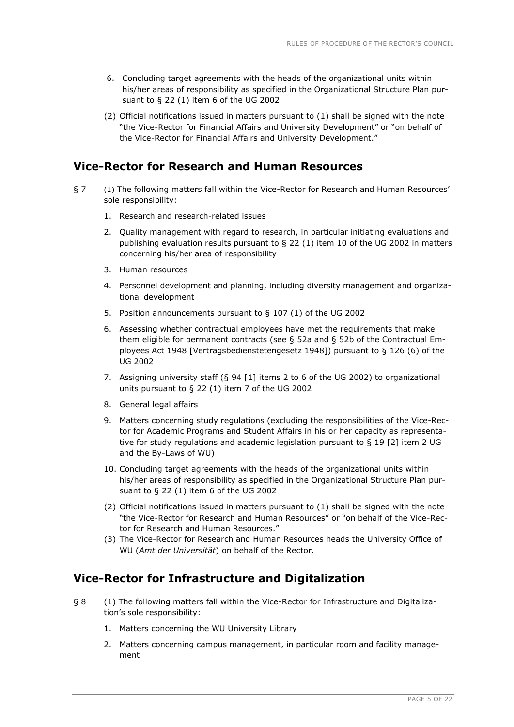- 6. Concluding target agreements with the heads of the organizational units within his/her areas of responsibility as specified in the Organizational Structure Plan pursuant to § 22 (1) item 6 of the UG 2002
- (2) Official notifications issued in matters pursuant to (1) shall be signed with the note "the Vice-Rector for Financial Affairs and University Development" or "on behalf of the Vice-Rector for Financial Affairs and University Development."

## <span id="page-4-0"></span>**Vice-Rector for Research and Human Resources**

- § 7 (1) The following matters fall within the Vice-Rector for Research and Human Resources' sole responsibility:
	- 1. Research and research-related issues
	- 2. Quality management with regard to research, in particular initiating evaluations and publishing evaluation results pursuant to  $\Sigma$  22 (1) item 10 of the UG 2002 in matters concerning his/her area of responsibility
	- 3. Human resources
	- 4. Personnel development and planning, including diversity management and organizational development
	- 5. Position announcements pursuant to § 107 (1) of the UG 2002
	- 6. Assessing whether contractual employees have met the requirements that make them eligible for permanent contracts (see § 52a and § 52b of the Contractual Employees Act 1948 [Vertragsbedienstetengesetz 1948]) pursuant to § 126 (6) of the UG 2002
	- 7. Assigning university staff (§ 94 [1] items 2 to 6 of the UG 2002) to organizational units pursuant to § 22 (1) item 7 of the UG 2002
	- 8. General legal affairs
	- 9. Matters concerning study regulations (excluding the responsibilities of the Vice-Rector for Academic Programs and Student Affairs in his or her capacity as representative for study regulations and academic legislation pursuant to § 19 [2] item 2 UG and the By-Laws of WU)
	- 10. Concluding target agreements with the heads of the organizational units within his/her areas of responsibility as specified in the Organizational Structure Plan pursuant to § 22 (1) item 6 of the UG 2002
	- (2) Official notifications issued in matters pursuant to (1) shall be signed with the note "the Vice-Rector for Research and Human Resources" or "on behalf of the Vice-Rector for Research and Human Resources."
	- (3) The Vice-Rector for Research and Human Resources heads the University Office of WU (*Amt der Universität*) on behalf of the Rector.

#### <span id="page-4-1"></span>**Vice-Rector for Infrastructure and Digitalization**

- § 8 (1) The following matters fall within the Vice-Rector for Infrastructure and Digitalization's sole responsibility:
	- 1. Matters concerning the WU University Library
	- 2. Matters concerning campus management, in particular room and facility management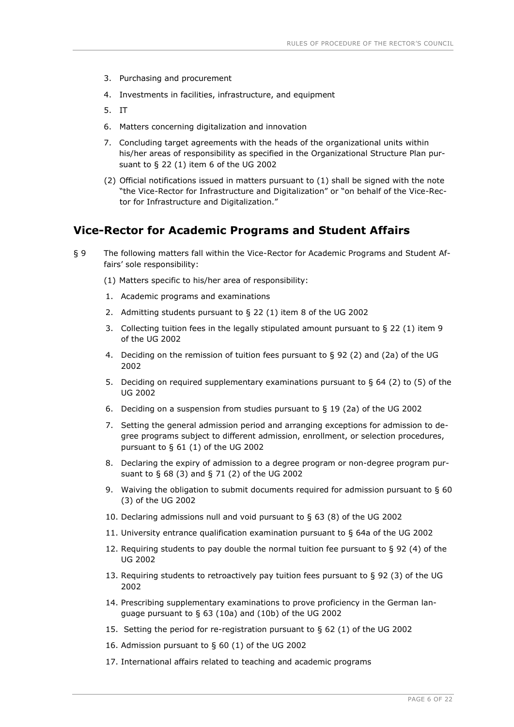- 3. Purchasing and procurement
- 4. Investments in facilities, infrastructure, and equipment
- 5. IT
- 6. Matters concerning digitalization and innovation
- 7. Concluding target agreements with the heads of the organizational units within his/her areas of responsibility as specified in the Organizational Structure Plan pursuant to § 22 (1) item 6 of the UG 2002
- (2) Official notifications issued in matters pursuant to (1) shall be signed with the note "the Vice-Rector for Infrastructure and Digitalization" or "on behalf of the Vice-Rector for Infrastructure and Digitalization."

#### <span id="page-5-0"></span>**Vice-Rector for Academic Programs and Student Affairs**

- § 9 The following matters fall within the Vice-Rector for Academic Programs and Student Affairs' sole responsibility:
	- (1) Matters specific to his/her area of responsibility:
	- 1. Academic programs and examinations
	- 2. Admitting students pursuant to § 22 (1) item 8 of the UG 2002
	- 3. Collecting tuition fees in the legally stipulated amount pursuant to § 22 (1) item 9 of the UG 2002
	- 4. Deciding on the remission of tuition fees pursuant to § 92 (2) and (2a) of the UG 2002
	- 5. Deciding on required supplementary examinations pursuant to § 64 (2) to (5) of the UG 2002
	- 6. Deciding on a suspension from studies pursuant to § 19 (2a) of the UG 2002
	- 7. Setting the general admission period and arranging exceptions for admission to degree programs subject to different admission, enrollment, or selection procedures, pursuant to § 61 (1) of the UG 2002
	- 8. Declaring the expiry of admission to a degree program or non-degree program pursuant to § 68 (3) and § 71 (2) of the UG 2002
	- 9. Waiving the obligation to submit documents required for admission pursuant to § 60 (3) of the UG 2002
	- 10. Declaring admissions null and void pursuant to § 63 (8) of the UG 2002
	- 11. University entrance qualification examination pursuant to § 64a of the UG 2002
	- 12. Requiring students to pay double the normal tuition fee pursuant to  $\S$  92 (4) of the UG 2002
	- 13. Requiring students to retroactively pay tuition fees pursuant to  $\S$  92 (3) of the UG 2002
	- 14. Prescribing supplementary examinations to prove proficiency in the German language pursuant to § 63 (10a) and (10b) of the UG 2002
	- 15. Setting the period for re-registration pursuant to § 62 (1) of the UG 2002
	- 16. Admission pursuant to § 60 (1) of the UG 2002
	- 17. International affairs related to teaching and academic programs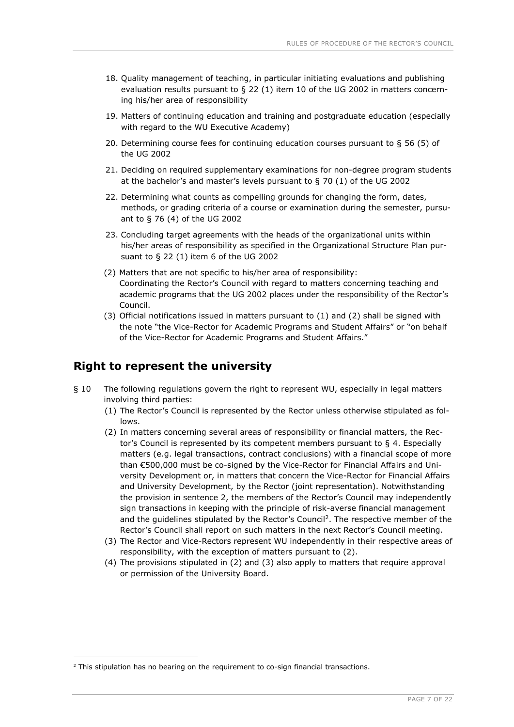- 18. Quality management of teaching, in particular initiating evaluations and publishing evaluation results pursuant to § 22 (1) item 10 of the UG 2002 in matters concerning his/her area of responsibility
- 19. Matters of continuing education and training and postgraduate education (especially with regard to the WU Executive Academy)
- 20. Determining course fees for continuing education courses pursuant to § 56 (5) of the UG 2002
- 21. Deciding on required supplementary examinations for non-degree program students at the bachelor's and master's levels pursuant to § 70 (1) of the UG 2002
- 22. Determining what counts as compelling grounds for changing the form, dates, methods, or grading criteria of a course or examination during the semester, pursuant to § 76 (4) of the UG 2002
- 23. Concluding target agreements with the heads of the organizational units within his/her areas of responsibility as specified in the Organizational Structure Plan pursuant to § 22 (1) item 6 of the UG 2002
- (2) Matters that are not specific to his/her area of responsibility: Coordinating the Rector's Council with regard to matters concerning teaching and academic programs that the UG 2002 places under the responsibility of the Rector's Council.
- (3) Official notifications issued in matters pursuant to (1) and (2) shall be signed with the note "the Vice-Rector for Academic Programs and Student Affairs" or "on behalf of the Vice-Rector for Academic Programs and Student Affairs."

#### <span id="page-6-0"></span>**Right to represent the university**

- § 10 The following regulations govern the right to represent WU, especially in legal matters involving third parties:
	- (1) The Rector's Council is represented by the Rector unless otherwise stipulated as follows.
	- (2) In matters concerning several areas of responsibility or financial matters, the Rector's Council is represented by its competent members pursuant to § 4. Especially matters (e.g. legal transactions, contract conclusions) with a financial scope of more than €500,000 must be co-signed by the Vice-Rector for Financial Affairs and University Development or, in matters that concern the Vice-Rector for Financial Affairs and University Development, by the Rector (joint representation). Notwithstanding the provision in sentence 2, the members of the Rector's Council may independently sign transactions in keeping with the principle of risk-averse financial management and the guidelines stipulated by the Rector's Council<sup>2</sup>. The respective member of the Rector's Council shall report on such matters in the next Rector's Council meeting.
	- (3) The Rector and Vice-Rectors represent WU independently in their respective areas of responsibility, with the exception of matters pursuant to (2).
	- (4) The provisions stipulated in (2) and (3) also apply to matters that require approval or permission of the University Board.

-

<sup>&</sup>lt;sup>2</sup> This stipulation has no bearing on the requirement to co-sign financial transactions.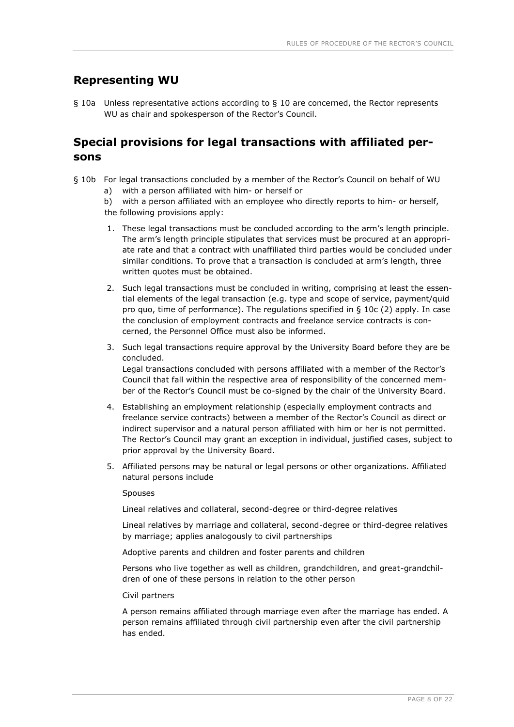#### <span id="page-7-0"></span>**Representing WU**

§ 10a Unless representative actions according to § 10 are concerned, the Rector represents WU as chair and spokesperson of the Rector's Council.

## <span id="page-7-1"></span>**Special provisions for legal transactions with affiliated persons**

- § 10b For legal transactions concluded by a member of the Rector's Council on behalf of WU
	- a) with a person affiliated with him- or herself or

b) with a person affiliated with an employee who directly reports to him- or herself, the following provisions apply:

- 1. These legal transactions must be concluded according to the arm's length principle. The arm's length principle stipulates that services must be procured at an appropriate rate and that a contract with unaffiliated third parties would be concluded under similar conditions. To prove that a transaction is concluded at arm's length, three written quotes must be obtained.
- 2. Such legal transactions must be concluded in writing, comprising at least the essential elements of the legal transaction (e.g. type and scope of service, payment/quid pro quo, time of performance). The regulations specified in § 10c (2) apply. In case the conclusion of employment contracts and freelance service contracts is concerned, the Personnel Office must also be informed.
- 3. Such legal transactions require approval by the University Board before they are be concluded. Legal transactions concluded with persons affiliated with a member of the Rector's Council that fall within the respective area of responsibility of the concerned member of the Rector's Council must be co-signed by the chair of the University Board.
- 4. Establishing an employment relationship (especially employment contracts and freelance service contracts) between a member of the Rector's Council as direct or indirect supervisor and a natural person affiliated with him or her is not permitted. The Rector's Council may grant an exception in individual, justified cases, subject to prior approval by the University Board.
- 5. Affiliated persons may be natural or legal persons or other organizations. Affiliated natural persons include

#### Spouses

Lineal relatives and collateral, second-degree or third-degree relatives

Lineal relatives by marriage and collateral, second-degree or third-degree relatives by marriage; applies analogously to civil partnerships

Adoptive parents and children and foster parents and children

Persons who live together as well as children, grandchildren, and great-grandchildren of one of these persons in relation to the other person

#### Civil partners

A person remains affiliated through marriage even after the marriage has ended. A person remains affiliated through civil partnership even after the civil partnership has ended.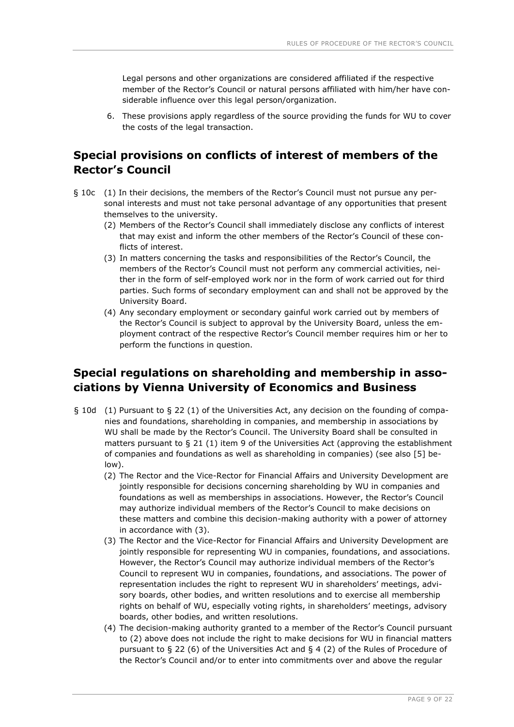Legal persons and other organizations are considered affiliated if the respective member of the Rector's Council or natural persons affiliated with him/her have considerable influence over this legal person/organization.

6. These provisions apply regardless of the source providing the funds for WU to cover the costs of the legal transaction.

# <span id="page-8-0"></span>**Special provisions on conflicts of interest of members of the Rector's Council**

- § 10c (1) In their decisions, the members of the Rector's Council must not pursue any personal interests and must not take personal advantage of any opportunities that present themselves to the university.
	- (2) Members of the Rector's Council shall immediately disclose any conflicts of interest that may exist and inform the other members of the Rector's Council of these conflicts of interest.
	- (3) In matters concerning the tasks and responsibilities of the Rector's Council, the members of the Rector's Council must not perform any commercial activities, neither in the form of self-employed work nor in the form of work carried out for third parties. Such forms of secondary employment can and shall not be approved by the University Board.
	- (4) Any secondary employment or secondary gainful work carried out by members of the Rector's Council is subject to approval by the University Board, unless the employment contract of the respective Rector's Council member requires him or her to perform the functions in question.

# <span id="page-8-1"></span>**Special regulations on shareholding and membership in associations by Vienna University of Economics and Business**

- § 10d (1) Pursuant to § 22 (1) of the Universities Act, any decision on the founding of companies and foundations, shareholding in companies, and membership in associations by WU shall be made by the Rector's Council. The University Board shall be consulted in matters pursuant to  $\S 21$  (1) item 9 of the Universities Act (approving the establishment of companies and foundations as well as shareholding in companies) (see also [5] below).
	- (2) The Rector and the Vice-Rector for Financial Affairs and University Development are jointly responsible for decisions concerning shareholding by WU in companies and foundations as well as memberships in associations. However, the Rector's Council may authorize individual members of the Rector's Council to make decisions on these matters and combine this decision-making authority with a power of attorney in accordance with (3).
	- (3) The Rector and the Vice-Rector for Financial Affairs and University Development are jointly responsible for representing WU in companies, foundations, and associations. However, the Rector's Council may authorize individual members of the Rector's Council to represent WU in companies, foundations, and associations. The power of representation includes the right to represent WU in shareholders' meetings, advisory boards, other bodies, and written resolutions and to exercise all membership rights on behalf of WU, especially voting rights, in shareholders' meetings, advisory boards, other bodies, and written resolutions.
	- (4) The decision-making authority granted to a member of the Rector's Council pursuant to (2) above does not include the right to make decisions for WU in financial matters pursuant to § 22 (6) of the Universities Act and § 4 (2) of the Rules of Procedure of the Rector's Council and/or to enter into commitments over and above the regular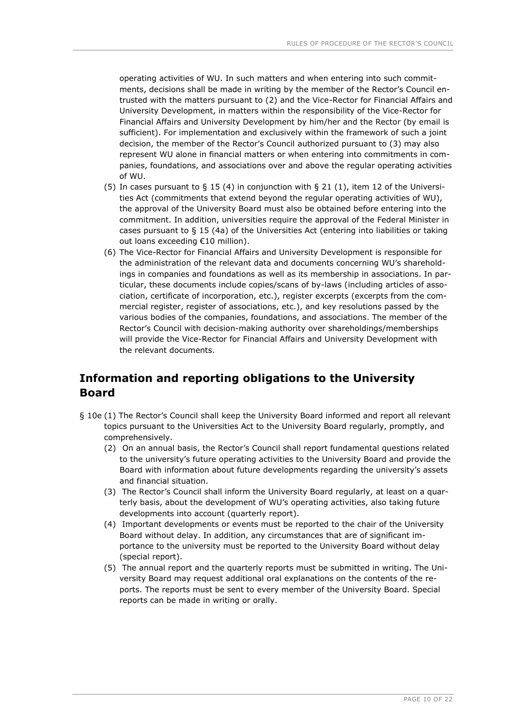operating activities of WU. In such matters and when entering into such commitments, decisions shall be made in writing by the member of the Rector's Council entrusted with the matters pursuant to (2) and the Vice-Rector for Financial Affairs and University Development, in matters within the responsibility of the Vice-Rector for Financial Affairs and University Development by him/her and the Rector (by email is sufficient). For implementation and exclusively within the framework of such a joint decision, the member of the Rector's Council authorized pursuant to (3) may also represent WU alone in financial matters or when entering into commitments in companies, foundations, and associations over and above the regular operating activities of WU.

- (5) In cases pursuant to  $\S$  15 (4) in conjunction with  $\S$  21 (1), item 12 of the Universities Act (commitments that extend beyond the regular operating activities of WU), the approval of the University Board must also be obtained before entering into the commitment. In addition, universities require the approval of the Federal Minister in cases pursuant to § 15 (4a) of the Universities Act (entering into liabilities or taking out loans exceeding €10 million).
- (6) The Vice-Rector for Financial Affairs and University Development is responsible for the administration of the relevant data and documents concerning WU's shareholdings in companies and foundations as well as its membership in associations. In particular, these documents include copies/scans of by-laws (including articles of association, certificate of incorporation, etc.), register excerpts (excerpts from the commercial register, register of associations, etc.), and key resolutions passed by the various bodies of the companies, foundations, and associations. The member of the Rector's Council with decision-making authority over shareholdings/memberships will provide the Vice-Rector for Financial Affairs and University Development with the relevant documents.

# <span id="page-9-0"></span>**Information and reporting obligations to the University Board**

- § 10e (1) The Rector's Council shall keep the University Board informed and report all relevant topics pursuant to the Universities Act to the University Board regularly, promptly, and comprehensively.
	- (2) On an annual basis, the Rector's Council shall report fundamental questions related to the university's future operating activities to the University Board and provide the Board with information about future developments regarding the university's assets and financial situation.
	- (3) The Rector's Council shall inform the University Board regularly, at least on a quarterly basis, about the development of WU's operating activities, also taking future developments into account (quarterly report).
	- (4) Important developments or events must be reported to the chair of the University Board without delay. In addition, any circumstances that are of significant importance to the university must be reported to the University Board without delay (special report).
	- (5) The annual report and the quarterly reports must be submitted in writing. The University Board may request additional oral explanations on the contents of the reports. The reports must be sent to every member of the University Board. Special reports can be made in writing or orally.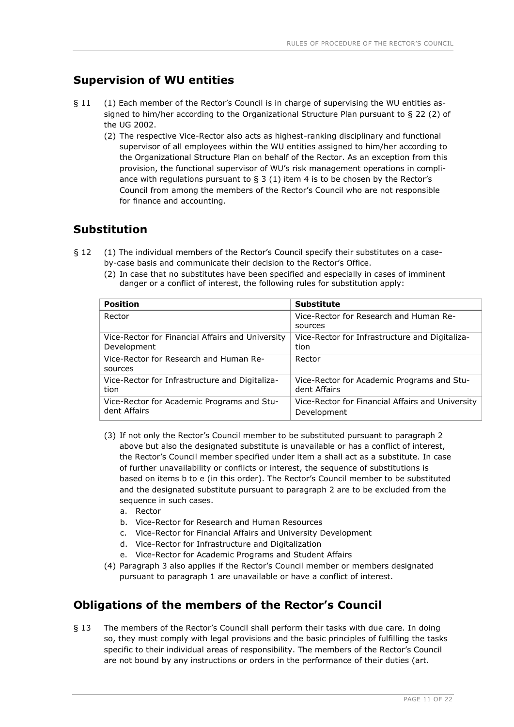# <span id="page-10-0"></span>**Supervision of WU entities**

- § 11 (1) Each member of the Rector's Council is in charge of supervising the WU entities assigned to him/her according to the Organizational Structure Plan pursuant to § 22 (2) of the UG 2002.
	- (2) The respective Vice-Rector also acts as highest-ranking disciplinary and functional supervisor of all employees within the WU entities assigned to him/her according to the Organizational Structure Plan on behalf of the Rector. As an exception from this provision, the functional supervisor of WU's risk management operations in compliance with regulations pursuant to  $\S$  3 (1) item 4 is to be chosen by the Rector's Council from among the members of the Rector's Council who are not responsible for finance and accounting.

# <span id="page-10-1"></span>**Substitution**

- § 12 (1) The individual members of the Rector's Council specify their substitutes on a caseby-case basis and communicate their decision to the Rector's Office.
	- (2) In case that no substitutes have been specified and especially in cases of imminent danger or a conflict of interest, the following rules for substitution apply:

| <b>Position</b>                                   | <b>Substitute</b>                                 |
|---------------------------------------------------|---------------------------------------------------|
| Rector                                            | Vice-Rector for Research and Human Re-<br>sources |
| Vice-Rector for Financial Affairs and University  | Vice-Rector for Infrastructure and Digitaliza-    |
| Development                                       | tion                                              |
| Vice-Rector for Research and Human Re-<br>sources | Rector                                            |
| Vice-Rector for Infrastructure and Digitaliza-    | Vice-Rector for Academic Programs and Stu-        |
| tion                                              | dent Affairs                                      |
| Vice-Rector for Academic Programs and Stu-        | Vice-Rector for Financial Affairs and University  |
| dent Affairs                                      | Development                                       |

- (3) If not only the Rector's Council member to be substituted pursuant to paragraph 2 above but also the designated substitute is unavailable or has a conflict of interest, the Rector's Council member specified under item a shall act as a substitute. In case of further unavailability or conflicts or interest, the sequence of substitutions is based on items b to e (in this order). The Rector's Council member to be substituted and the designated substitute pursuant to paragraph 2 are to be excluded from the sequence in such cases.
	- a. Rector
	- b. Vice-Rector for Research and Human Resources
	- c. Vice-Rector for Financial Affairs and University Development
	- d. Vice-Rector for Infrastructure and Digitalization
	- e. Vice-Rector for Academic Programs and Student Affairs
- (4) Paragraph 3 also applies if the Rector's Council member or members designated pursuant to paragraph 1 are unavailable or have a conflict of interest.

# <span id="page-10-2"></span>**Obligations of the members of the Rector's Council**

§ 13 The members of the Rector's Council shall perform their tasks with due care. In doing so, they must comply with legal provisions and the basic principles of fulfilling the tasks specific to their individual areas of responsibility. The members of the Rector's Council are not bound by any instructions or orders in the performance of their duties (art.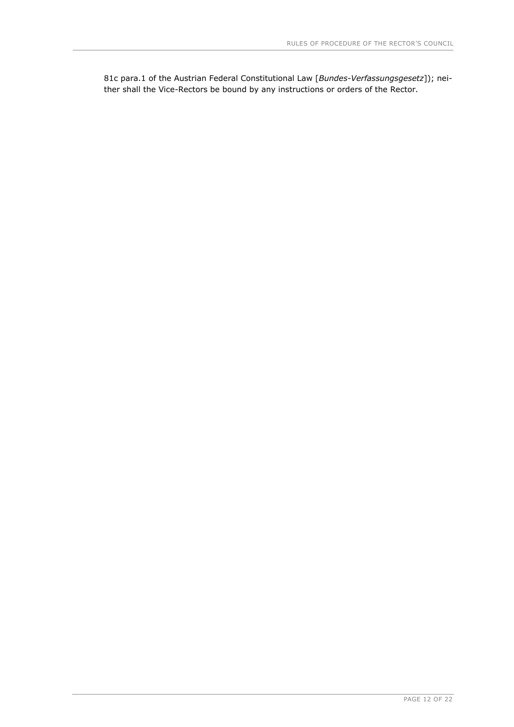81c para.1 of the Austrian Federal Constitutional Law [*Bundes-Verfassungsgesetz*]); neither shall the Vice-Rectors be bound by any instructions or orders of the Rector.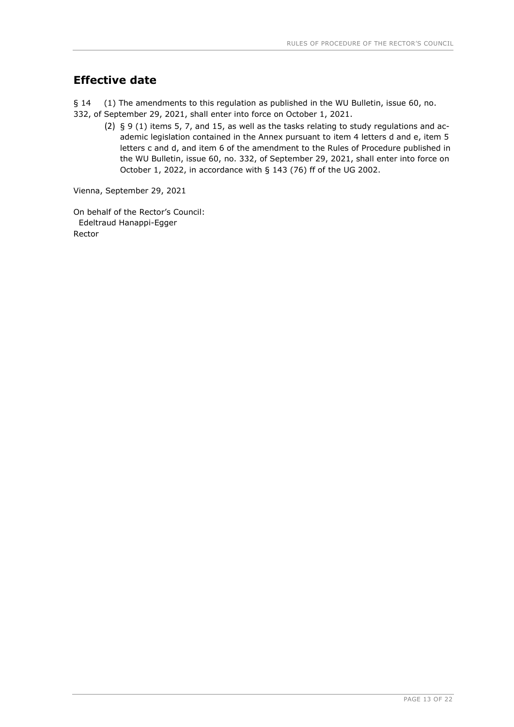# <span id="page-12-0"></span>**Effective date**

§ 14 (1) The amendments to this regulation as published in the WU Bulletin, issue 60, no.

- 332, of September 29, 2021, shall enter into force on October 1, 2021.
	- (2) § 9 (1) items 5, 7, and 15, as well as the tasks relating to study regulations and academic legislation contained in the Annex pursuant to item 4 letters d and e, item 5 letters c and d, and item 6 of the amendment to the Rules of Procedure published in the WU Bulletin, issue 60, no. 332, of September 29, 2021, shall enter into force on October 1, 2022, in accordance with § 143 (76) ff of the UG 2002.

Vienna, September 29, 2021

On behalf of the Rector's Council: Edeltraud Hanappi-Egger Rector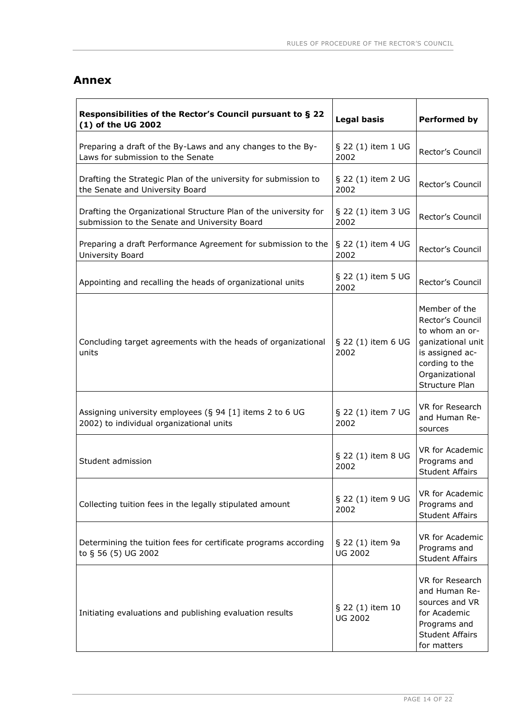#### <span id="page-13-0"></span>**Annex**

| Responsibilities of the Rector's Council pursuant to § 22<br>(1) of the UG 2002                                   | <b>Legal basis</b>                 | Performed by                                                                                                                                      |
|-------------------------------------------------------------------------------------------------------------------|------------------------------------|---------------------------------------------------------------------------------------------------------------------------------------------------|
| Preparing a draft of the By-Laws and any changes to the By-<br>Laws for submission to the Senate                  | § 22 (1) item 1 UG<br>2002         | Rector's Council                                                                                                                                  |
| Drafting the Strategic Plan of the university for submission to<br>the Senate and University Board                | § 22 (1) item 2 UG<br>2002         | Rector's Council                                                                                                                                  |
| Drafting the Organizational Structure Plan of the university for<br>submission to the Senate and University Board | § 22 (1) item 3 UG<br>2002         | Rector's Council                                                                                                                                  |
| Preparing a draft Performance Agreement for submission to the<br>University Board                                 | § 22 (1) item 4 UG<br>2002         | Rector's Council                                                                                                                                  |
| Appointing and recalling the heads of organizational units                                                        | $\S$ 22 (1) item 5 UG<br>2002      | Rector's Council                                                                                                                                  |
| Concluding target agreements with the heads of organizational<br>units                                            | § 22 (1) item 6 UG<br>2002         | Member of the<br>Rector's Council<br>to whom an or-<br>ganizational unit<br>is assigned ac-<br>cording to the<br>Organizational<br>Structure Plan |
| Assigning university employees (§ 94 [1] items 2 to 6 UG<br>2002) to individual organizational units              | § 22 (1) item 7 UG<br>2002         | VR for Research<br>and Human Re-<br>sources                                                                                                       |
| Student admission                                                                                                 | § 22 (1) item 8 UG<br>2002         | VR for Academic<br>Programs and<br><b>Student Affairs</b>                                                                                         |
| Collecting tuition fees in the legally stipulated amount                                                          | § 22 (1) item 9 UG<br>2002         | VR for Academic<br>Programs and<br><b>Student Affairs</b>                                                                                         |
| Determining the tuition fees for certificate programs according<br>to § 56 (5) UG 2002                            | § 22 (1) item 9a<br><b>UG 2002</b> | VR for Academic<br>Programs and<br><b>Student Affairs</b>                                                                                         |
| Initiating evaluations and publishing evaluation results                                                          | § 22 (1) item 10<br><b>UG 2002</b> | VR for Research<br>and Human Re-<br>sources and VR<br>for Academic<br>Programs and<br><b>Student Affairs</b><br>for matters                       |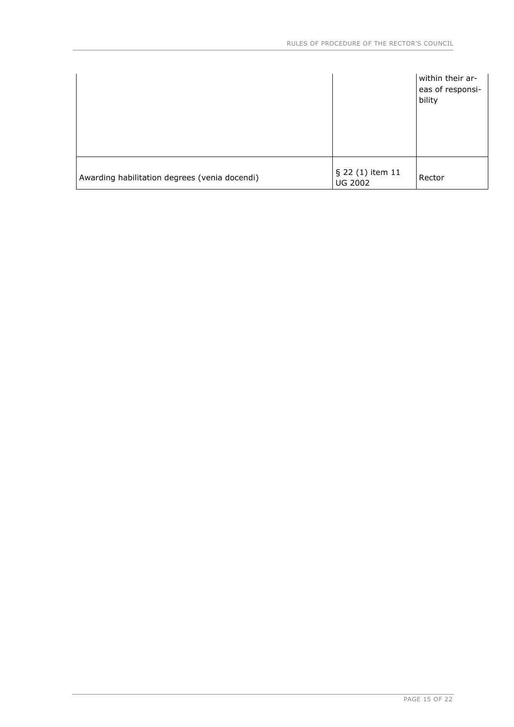|                                               |                                    | within their ar-<br>eas of responsi-<br>bility |
|-----------------------------------------------|------------------------------------|------------------------------------------------|
| Awarding habilitation degrees (venia docendi) | § 22 (1) item 11<br><b>UG 2002</b> | Rector                                         |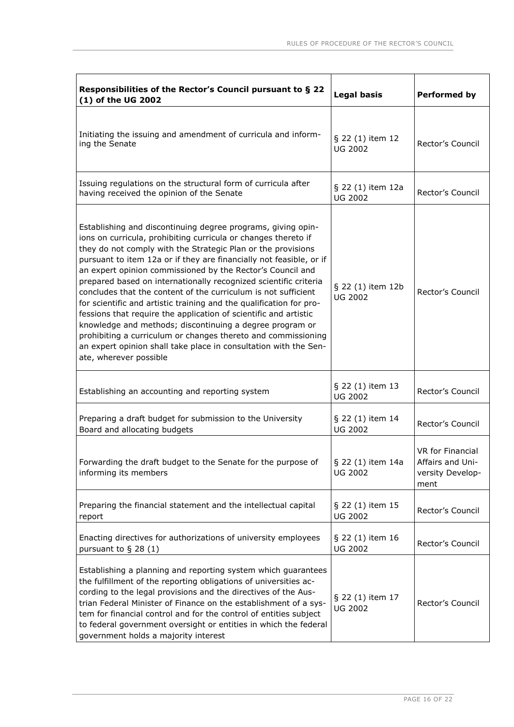| Responsibilities of the Rector's Council pursuant to § 22<br>(1) of the UG 2002                                                                                                                                                                                                                                                                                                                                                                                                                                                                                                                                                                                                                                                                                                                                                                 | <b>Legal basis</b>                  | <b>Performed by</b>                                              |
|-------------------------------------------------------------------------------------------------------------------------------------------------------------------------------------------------------------------------------------------------------------------------------------------------------------------------------------------------------------------------------------------------------------------------------------------------------------------------------------------------------------------------------------------------------------------------------------------------------------------------------------------------------------------------------------------------------------------------------------------------------------------------------------------------------------------------------------------------|-------------------------------------|------------------------------------------------------------------|
| Initiating the issuing and amendment of curricula and inform-<br>ing the Senate                                                                                                                                                                                                                                                                                                                                                                                                                                                                                                                                                                                                                                                                                                                                                                 | § 22 (1) item 12<br><b>UG 2002</b>  | Rector's Council                                                 |
| Issuing regulations on the structural form of curricula after<br>having received the opinion of the Senate                                                                                                                                                                                                                                                                                                                                                                                                                                                                                                                                                                                                                                                                                                                                      | § 22 (1) item 12a<br><b>UG 2002</b> | Rector's Council                                                 |
| Establishing and discontinuing degree programs, giving opin-<br>ions on curricula, prohibiting curricula or changes thereto if<br>they do not comply with the Strategic Plan or the provisions<br>pursuant to item 12a or if they are financially not feasible, or if<br>an expert opinion commissioned by the Rector's Council and<br>prepared based on internationally recognized scientific criteria<br>concludes that the content of the curriculum is not sufficient<br>for scientific and artistic training and the qualification for pro-<br>fessions that require the application of scientific and artistic<br>knowledge and methods; discontinuing a degree program or<br>prohibiting a curriculum or changes thereto and commissioning<br>an expert opinion shall take place in consultation with the Sen-<br>ate, wherever possible | § 22 (1) item 12b<br><b>UG 2002</b> | Rector's Council                                                 |
| Establishing an accounting and reporting system                                                                                                                                                                                                                                                                                                                                                                                                                                                                                                                                                                                                                                                                                                                                                                                                 | § 22 (1) item 13<br><b>UG 2002</b>  | Rector's Council                                                 |
| Preparing a draft budget for submission to the University<br>Board and allocating budgets                                                                                                                                                                                                                                                                                                                                                                                                                                                                                                                                                                                                                                                                                                                                                       | § 22 (1) item 14<br><b>UG 2002</b>  | Rector's Council                                                 |
| Forwarding the draft budget to the Senate for the purpose of $\frac{1}{5}$ 22 (1) item 14a<br>informing its members                                                                                                                                                                                                                                                                                                                                                                                                                                                                                                                                                                                                                                                                                                                             | <b>UG 2002</b>                      | VR for Financial<br>Affairs and Uni-<br>versity Develop-<br>ment |
| Preparing the financial statement and the intellectual capital<br>report                                                                                                                                                                                                                                                                                                                                                                                                                                                                                                                                                                                                                                                                                                                                                                        | § 22 (1) item 15<br><b>UG 2002</b>  | Rector's Council                                                 |
| Enacting directives for authorizations of university employees<br>pursuant to $\S$ 28 (1)                                                                                                                                                                                                                                                                                                                                                                                                                                                                                                                                                                                                                                                                                                                                                       | § 22 (1) item 16<br><b>UG 2002</b>  | Rector's Council                                                 |
| Establishing a planning and reporting system which guarantees<br>the fulfillment of the reporting obligations of universities ac-<br>cording to the legal provisions and the directives of the Aus-<br>trian Federal Minister of Finance on the establishment of a sys-<br>tem for financial control and for the control of entities subject<br>to federal government oversight or entities in which the federal<br>government holds a majority interest                                                                                                                                                                                                                                                                                                                                                                                        | § 22 (1) item 17<br><b>UG 2002</b>  | Rector's Council                                                 |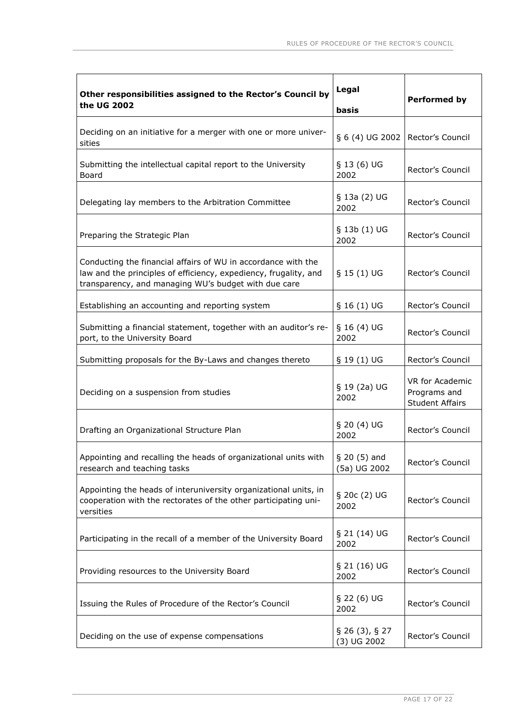| Other responsibilities assigned to the Rector's Council by<br>the UG 2002                                                                                                                 | Legal<br>basis                     | <b>Performed by</b>                                       |
|-------------------------------------------------------------------------------------------------------------------------------------------------------------------------------------------|------------------------------------|-----------------------------------------------------------|
| Deciding on an initiative for a merger with one or more univer-<br>sities                                                                                                                 | § 6 (4) UG 2002                    | Rector's Council                                          |
| Submitting the intellectual capital report to the University<br>Board                                                                                                                     | $§$ 13 (6) UG<br>2002              | Rector's Council                                          |
| Delegating lay members to the Arbitration Committee                                                                                                                                       | § 13a (2) UG<br>2002               | Rector's Council                                          |
| Preparing the Strategic Plan                                                                                                                                                              | § 13b (1) UG<br>2002               | Rector's Council                                          |
| Conducting the financial affairs of WU in accordance with the<br>law and the principles of efficiency, expediency, frugality, and<br>transparency, and managing WU's budget with due care | $§$ 15 (1) UG                      | Rector's Council                                          |
| Establishing an accounting and reporting system                                                                                                                                           | $§ 16(1) \text{UG}$                | Rector's Council                                          |
| Submitting a financial statement, together with an auditor's re-<br>port, to the University Board                                                                                         | $§ 16(4) \text{ UG}$<br>2002       | Rector's Council                                          |
| Submitting proposals for the By-Laws and changes thereto                                                                                                                                  | $§$ 19 (1) UG                      | Rector's Council                                          |
| Deciding on a suspension from studies                                                                                                                                                     | $§$ 19 (2a) UG<br>2002             | VR for Academic<br>Programs and<br><b>Student Affairs</b> |
| Drafting an Organizational Structure Plan                                                                                                                                                 | $§$ 20 (4) UG<br>2002              | Rector's Council                                          |
| Appointing and recalling the heads of organizational units with<br>research and teaching tasks                                                                                            | $§$ 20 (5) and<br>(5a) UG 2002     | Rector's Council                                          |
| Appointing the heads of interuniversity organizational units, in<br>cooperation with the rectorates of the other participating uni-<br>versities                                          | § 20c (2) UG<br>2002               | Rector's Council                                          |
| Participating in the recall of a member of the University Board                                                                                                                           | § 21 (14) UG<br>2002               | Rector's Council                                          |
| Providing resources to the University Board                                                                                                                                               | § 21 (16) UG<br>2002               | Rector's Council                                          |
| Issuing the Rules of Procedure of the Rector's Council                                                                                                                                    | $\S$ 22 (6) UG<br>2002             | Rector's Council                                          |
| Deciding on the use of expense compensations                                                                                                                                              | $\S$ 26 (3), § 27<br>$(3)$ UG 2002 | Rector's Council                                          |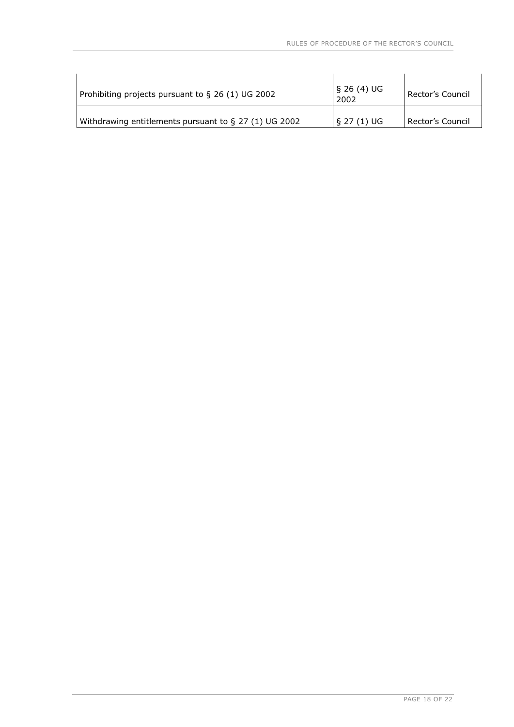| Prohibiting projects pursuant to § 26 (1) UG 2002        | S 26 (4) UG<br>2002 | Rector's Council   |
|----------------------------------------------------------|---------------------|--------------------|
| Withdrawing entitlements pursuant to $\S$ 27 (1) UG 2002 | $\S 27(1)$ UG       | l Rector's Council |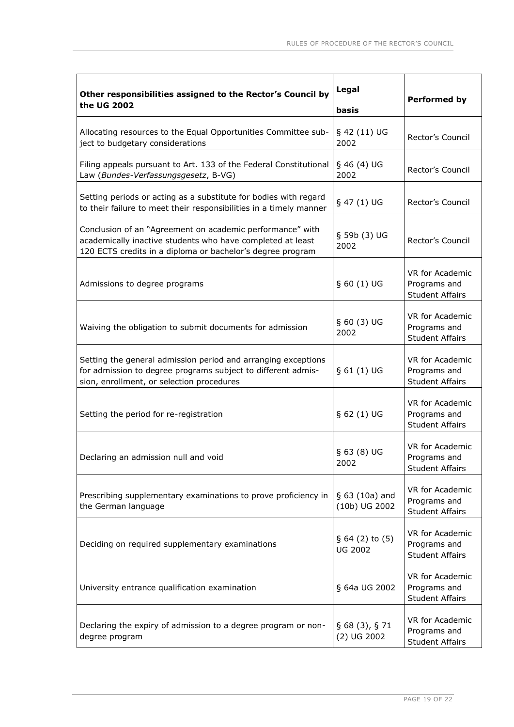| Other responsibilities assigned to the Rector's Council by<br>the UG 2002                                                                                                             | Legal<br>basis                     | <b>Performed by</b>                                              |
|---------------------------------------------------------------------------------------------------------------------------------------------------------------------------------------|------------------------------------|------------------------------------------------------------------|
| Allocating resources to the Equal Opportunities Committee sub-<br>ject to budgetary considerations                                                                                    | § 42 (11) UG<br>2002               | Rector's Council                                                 |
| Filing appeals pursuant to Art. 133 of the Federal Constitutional<br>Law (Bundes-Verfassungsgesetz, B-VG)                                                                             | $§$ 46 (4) UG<br>2002              | Rector's Council                                                 |
| Setting periods or acting as a substitute for bodies with regard<br>to their failure to meet their responsibilities in a timely manner                                                | § 47 (1) UG                        | Rector's Council                                                 |
| Conclusion of an "Agreement on academic performance" with<br>academically inactive students who have completed at least<br>120 ECTS credits in a diploma or bachelor's degree program | § 59b (3) UG<br>2002               | Rector's Council                                                 |
| Admissions to degree programs                                                                                                                                                         | $§ 60(1)$ UG                       | <b>VR for Academic</b><br>Programs and<br><b>Student Affairs</b> |
| Waiving the obligation to submit documents for admission                                                                                                                              | § 60(3) UG<br>2002                 | VR for Academic<br>Programs and<br><b>Student Affairs</b>        |
| Setting the general admission period and arranging exceptions<br>for admission to degree programs subject to different admis-<br>sion, enrollment, or selection procedures            | $§ 61(1)$ UG                       | VR for Academic<br>Programs and<br><b>Student Affairs</b>        |
| Setting the period for re-registration                                                                                                                                                | § 62(1) UG                         | VR for Academic<br>Programs and<br><b>Student Affairs</b>        |
| Declaring an admission null and void                                                                                                                                                  | § 63(8) UG<br>2002                 | VR for Academic<br>Programs and<br><b>Student Affairs</b>        |
| Prescribing supplementary examinations to prove proficiency in<br>the German language                                                                                                 | § 63 (10a) and<br>(10b) UG 2002    | VR for Academic<br>Programs and<br><b>Student Affairs</b>        |
| Deciding on required supplementary examinations                                                                                                                                       | § 64 (2) to (5)<br><b>UG 2002</b>  | VR for Academic<br>Programs and<br><b>Student Affairs</b>        |
| University entrance qualification examination                                                                                                                                         | § 64a UG 2002                      | VR for Academic<br>Programs and<br><b>Student Affairs</b>        |
| Declaring the expiry of admission to a degree program or non-<br>degree program                                                                                                       | $\S$ 68 (3), § 71<br>$(2)$ UG 2002 | VR for Academic<br>Programs and<br><b>Student Affairs</b>        |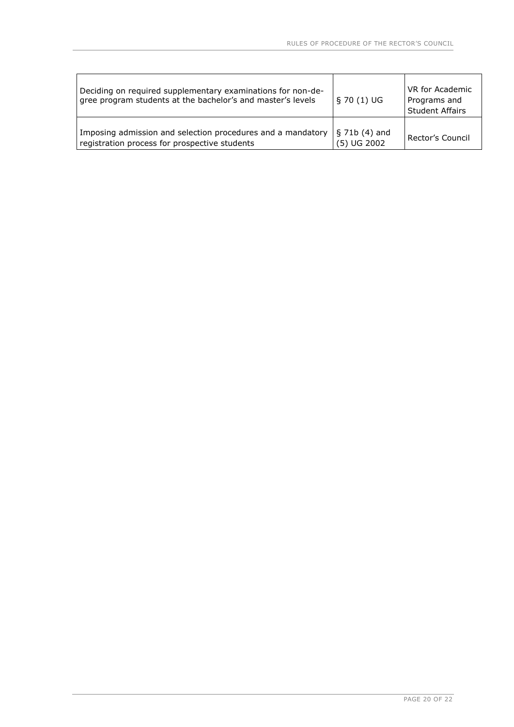| Deciding on required supplementary examinations for non-de-<br>gree program students at the bachelor's and master's levels | $\S$ 70 (1) UG                  | VR for Academic<br>Programs and<br><b>Student Affairs</b> |
|----------------------------------------------------------------------------------------------------------------------------|---------------------------------|-----------------------------------------------------------|
| Imposing admission and selection procedures and a mandatory<br>registration process for prospective students               | $\S$ 71b (4) and<br>(5) UG 2002 | Rector's Council                                          |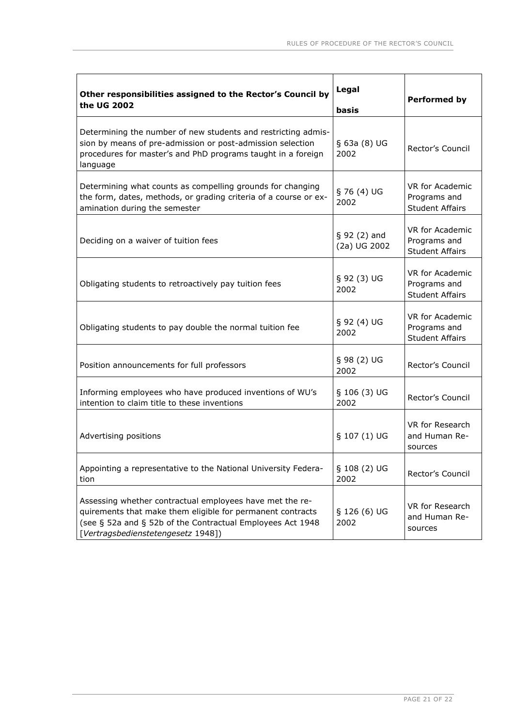| Other responsibilities assigned to the Rector's Council by<br>the UG 2002                                                                                                                                                  | Legal<br><b>basis</b>         | <b>Performed by</b>                                       |
|----------------------------------------------------------------------------------------------------------------------------------------------------------------------------------------------------------------------------|-------------------------------|-----------------------------------------------------------|
| Determining the number of new students and restricting admis-<br>sion by means of pre-admission or post-admission selection<br>procedures for master's and PhD programs taught in a foreign<br>language                    | § 63a (8) UG<br>2002          | Rector's Council                                          |
| Determining what counts as compelling grounds for changing<br>the form, dates, methods, or grading criteria of a course or ex-<br>amination during the semester                                                            | § 76(4) UG<br>2002            | VR for Academic<br>Programs and<br><b>Student Affairs</b> |
| Deciding on a waiver of tuition fees                                                                                                                                                                                       | $§ 92(2)$ and<br>(2a) UG 2002 | VR for Academic<br>Programs and<br><b>Student Affairs</b> |
| Obligating students to retroactively pay tuition fees                                                                                                                                                                      | § 92(3) UG<br>2002            | VR for Academic<br>Programs and<br><b>Student Affairs</b> |
| Obligating students to pay double the normal tuition fee                                                                                                                                                                   | § 92(4) UG<br>2002            | VR for Academic<br>Programs and<br><b>Student Affairs</b> |
| Position announcements for full professors                                                                                                                                                                                 | § 98(2) UG<br>2002            | Rector's Council                                          |
| Informing employees who have produced inventions of WU's<br>intention to claim title to these inventions                                                                                                                   | § 106 (3) UG<br>2002          | Rector's Council                                          |
| Advertising positions                                                                                                                                                                                                      | § 107 (1) UG                  | VR for Research<br>and Human Re-<br>sources               |
| Appointing a representative to the National University Federa-<br>tion                                                                                                                                                     | § 108 (2) UG<br>2002          | Rector's Council                                          |
| Assessing whether contractual employees have met the re-<br>quirements that make them eligible for permanent contracts<br>(see § 52a and § 52b of the Contractual Employees Act 1948<br>[Vertragsbedienstetengesetz 1948]) | § 126 (6) UG<br>2002          | VR for Research<br>and Human Re-<br>sources               |